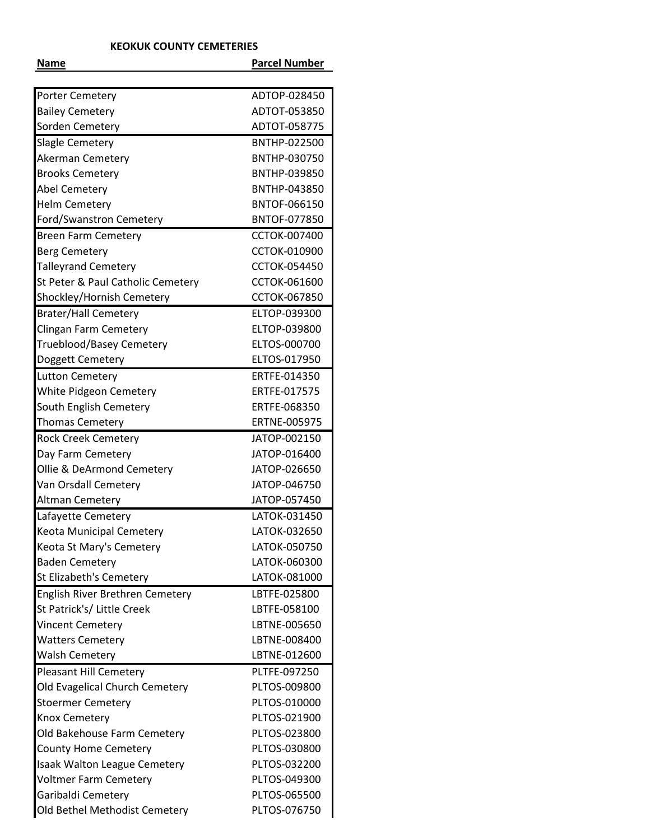## **KEOKUK COUNTY CEMETERIES**

| Name                              | <b>Parcel Number</b> |
|-----------------------------------|----------------------|
|                                   |                      |
| Porter Cemetery                   | ADTOP-028450         |
| <b>Bailey Cemetery</b>            | ADTOT-053850         |
| Sorden Cemetery                   | ADTOT-058775         |
| <b>Slagle Cemetery</b>            | BNTHP-022500         |
| Akerman Cemetery                  | BNTHP-030750         |
| <b>Brooks Cemetery</b>            | BNTHP-039850         |
| Abel Cemetery                     | BNTHP-043850         |
| <b>Helm Cemetery</b>              | <b>BNTOF-066150</b>  |
| Ford/Swanstron Cemetery           | BNTOF-077850         |
| <b>Breen Farm Cemetery</b>        | <b>CCTOK-007400</b>  |
| <b>Berg Cemetery</b>              | CCTOK-010900         |
| <b>Talleyrand Cemetery</b>        | <b>CCTOK-054450</b>  |
| St Peter & Paul Catholic Cemetery | CCTOK-061600         |
| Shockley/Hornish Cemetery         | CCTOK-067850         |
| <b>Brater/Hall Cemetery</b>       | ELTOP-039300         |
| <b>Clingan Farm Cemetery</b>      | ELTOP-039800         |
| Trueblood/Basey Cemetery          | ELTOS-000700         |
| Doggett Cemetery                  | ELTOS-017950         |
| <b>Lutton Cemetery</b>            | ERTFE-014350         |
| White Pidgeon Cemetery            | ERTFE-017575         |
| South English Cemetery            | ERTFE-068350         |
| <b>Thomas Cemetery</b>            | ERTNE-005975         |
| <b>Rock Creek Cemetery</b>        | JATOP-002150         |
| Day Farm Cemetery                 | JATOP-016400         |
| Ollie & DeArmond Cemetery         | JATOP-026650         |
| Van Orsdall Cemetery              | JATOP-046750         |
| Altman Cemetery                   | JATOP-057450         |
| Lafayette Cemetery                | LATOK-031450         |
| Keota Municipal Cemetery          | LATOK-032650         |
| Keota St Mary's Cemetery          | LATOK-050750         |
| <b>Baden Cemetery</b>             | LATOK-060300         |
| St Elizabeth's Cemetery           | LATOK-081000         |
| English River Brethren Cemetery   | LBTFE-025800         |
| St Patrick's/ Little Creek        | LBTFE-058100         |
| <b>Vincent Cemetery</b>           | LBTNE-005650         |
|                                   | LBTNE-008400         |
| <b>Watters Cemetery</b>           | LBTNE-012600         |
| <b>Walsh Cemetery</b>             |                      |
| <b>Pleasant Hill Cemetery</b>     | PLTFE-097250         |
| Old Evagelical Church Cemetery    | PLTOS-009800         |
| <b>Stoermer Cemetery</b>          | PLTOS-010000         |
| Knox Cemetery                     | PLTOS-021900         |
| Old Bakehouse Farm Cemetery       | PLTOS-023800         |
| <b>County Home Cemetery</b>       | PLTOS-030800         |
| Isaak Walton League Cemetery      | PLTOS-032200         |
| <b>Voltmer Farm Cemetery</b>      | PLTOS-049300         |
| Garibaldi Cemetery                | PLTOS-065500         |
| Old Bethel Methodist Cemetery     | PLTOS-076750         |